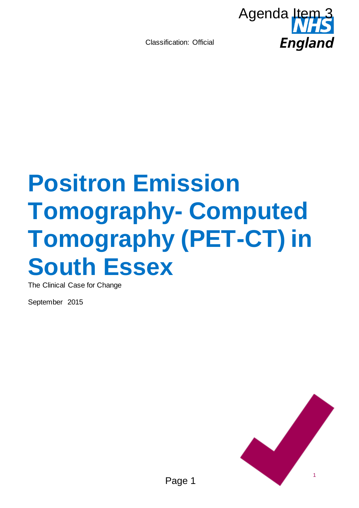

# **Positron Emission Tomography- Computed Tomography (PET-CT) in South Essex**  Agenda Item<sub>3</sub><br>
Agenda Item<br>
Fingland<br>
View Computed<br>
View (PET-CT) in

The Clinical Case for Change

September 2015

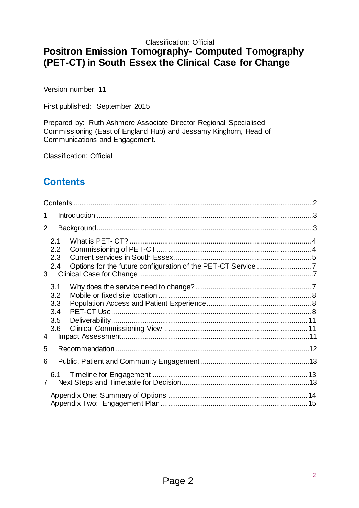# **Positron Emission Tomography- Computed Tomography (PET-CT) in South Essex the Clinical Case for Change**

Version number: 11

First published: September 2015

Prepared by: Ruth Ashmore Associate Director Regional Specialised Commissioning (East of England Hub) and Jessamy Kinghorn, Head of Communications and Engagement.

Classification: Official

# <span id="page-1-0"></span>**Contents**

| 1              |                                        |  |
|----------------|----------------------------------------|--|
| $\overline{2}$ |                                        |  |
| 3 <sup>1</sup> | 2.1<br>2.2<br>2.3<br>2.4               |  |
| 4              | 3.1<br>3.2<br>3.3<br>3.4<br>3.5<br>3.6 |  |
| 5              |                                        |  |
| 6              |                                        |  |
| $\overline{7}$ | 6.1                                    |  |
|                |                                        |  |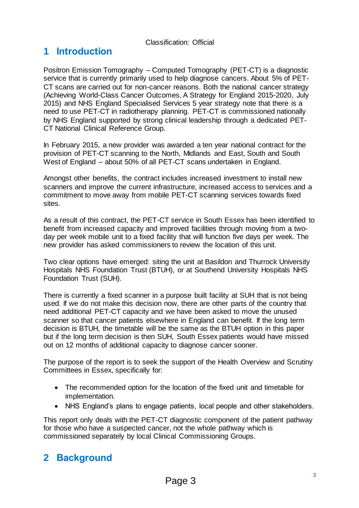# <span id="page-2-0"></span>**1 Introduction**

Positron Emission Tomography – Computed Tomography (PET-CT) is a diagnostic service that is currently primarily used to help diagnose cancers. About 5% of PET-CT scans are carried out for non-cancer reasons. Both the national cancer strategy (Achieving World-Class Cancer Outcomes, A Strategy for England 2015-2020, July 2015) and NHS England Specialised Services 5 year strategy note that there is a need to use PET-CT in radiotherapy planning. PET-CT is commissioned nationally by NHS England supported by strong clinical leadership through a dedicated PET-CT National Clinical Reference Group.

In February 2015, a new provider was awarded a ten year national contract for the provision of PET-CT scanning to the North, Midlands and East, South and South West of England – about 50% of all PET-CT scans undertaken in England.

Amongst other benefits, the contract includes increased investment to install new scanners and improve the current infrastructure, increased access to services and a commitment to move away from mobile PET-CT scanning services towards fixed sites.

As a result of this contract, the PET-CT service in South Essex has been identified to benefit from increased capacity and improved facilities through moving from a twoday per week mobile unit to a fixed facility that will function five days per week. The new provider has asked commissioners to review the location of this unit.

Two clear options have emerged: siting the unit at Basildon and Thurrock University Hospitals NHS Foundation Trust (BTUH), or at Southend University Hospitals NHS Foundation Trust (SUH).

There is currently a fixed scanner in a purpose built facility at SUH that is not being used. If we do not make this decision now, there are other parts of the country that need additional PET-CT capacity and we have been asked to move the unused scanner so that cancer patients elsewhere in England can benefit. If the long term decision is BTUH, the timetable will be the same as the BTUH option in this paper but if the long term decision is then SUH, South Essex patients would have missed out on 12 months of additional capacity to diagnose cancer sooner.

The purpose of the report is to seek the support of the Health Overview and Scrutiny Committees in Essex, specifically for:

- The recommended option for the location of the fixed unit and timetable for implementation.
- NHS England's plans to engage patients, local people and other stakeholders.

This report only deals with the PET-CT diagnostic component of the patient pathway for those who have a suspected cancer, not the whole pathway which is commissioned separately by local Clinical Commissioning Groups.

# <span id="page-2-1"></span>**2 Background**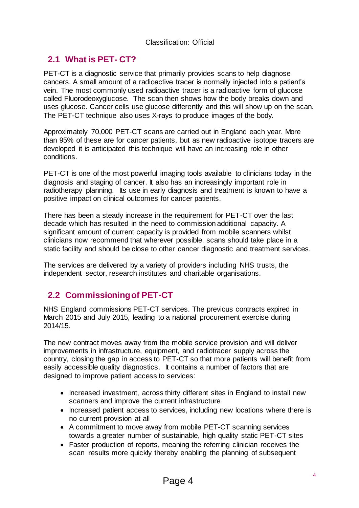# <span id="page-3-0"></span>**2.1 What is PET- CT?**

PET-CT is a diagnostic service that primarily provides scans to help diagnose cancers. A small amount of a radioactive tracer is normally injected into a patient's vein. The most commonly used radioactive tracer is a radioactive form of glucose called Fluorodeoxyglucose. The scan then shows how the body breaks down and uses glucose. Cancer cells use glucose differently and this will show up on the scan. The PET-CT technique also uses X-rays to produce images of the body.

Approximately 70,000 PET-CT scans are carried out in England each year. More than 95% of these are for cancer patients, but as new radioactive isotope tracers are developed it is anticipated this technique will have an increasing role in other conditions.

PET-CT is one of the most powerful imaging tools available to clinicians today in the diagnosis and staging of cancer. It also has an increasingly important role in radiotherapy planning. Its use in early diagnosis and treatment is known to have a positive impact on clinical outcomes for cancer patients.

There has been a steady increase in the requirement for PET-CT over the last decade which has resulted in the need to commission additional capacity. A significant amount of current capacity is provided from mobile scanners whilst clinicians now recommend that wherever possible, scans should take place in a static facility and should be close to other cancer diagnostic and treatment services.

The services are delivered by a variety of providers including NHS trusts, the independent sector, research institutes and charitable organisations.

# <span id="page-3-1"></span>**2.2 Commissioning of PET-CT**

NHS England commissions PET-CT services. The previous contracts expired in March 2015 and July 2015, leading to a national procurement exercise during 2014/15.

The new contract moves away from the mobile service provision and will deliver improvements in infrastructure, equipment, and radiotracer supply across the country, closing the gap in access to PET-CT so that more patients will benefit from easily accessible quality diagnostics. It contains a number of factors that are designed to improve patient access to services:

- Increased investment, across thirty different sites in England to install new scanners and improve the current infrastructure
- Increased patient access to services, including new locations where there is no current provision at all
- A commitment to move away from mobile PET-CT scanning services towards a greater number of sustainable, high quality static PET-CT sites
- Faster production of reports, meaning the referring clinician receives the scan results more quickly thereby enabling the planning of subsequent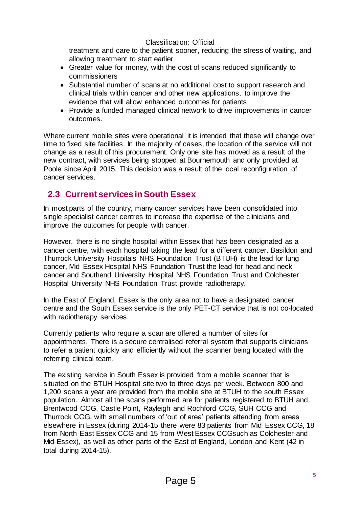treatment and care to the patient sooner, reducing the stress of waiting, and allowing treatment to start earlier

- Greater value for money, with the cost of scans reduced significantly to commissioners
- Substantial number of scans at no additional cost to support research and clinical trials within cancer and other new applications, to improve the evidence that will allow enhanced outcomes for patients
- Provide a funded managed clinical network to drive improvements in cancer outcomes.

Where current mobile sites were operational it is intended that these will change over time to fixed site facilities. In the majority of cases, the location of the service will not change as a result of this procurement. Only one site has moved as a result of the new contract, with services being stopped at Bournemouth and only provided at Poole since April 2015. This decision was a result of the local reconfiguration of cancer services.

# <span id="page-4-0"></span>**2.3 Current services in South Essex**

In most parts of the country, many cancer services have been consolidated into single specialist cancer centres to increase the expertise of the clinicians and improve the outcomes for people with cancer.

However, there is no single hospital within Essex that has been designated as a cancer centre, with each hospital taking the lead for a different cancer. Basildon and Thurrock University Hospitals NHS Foundation Trust (BTUH) is the lead for lung cancer, Mid Essex Hospital NHS Foundation Trust the lead for head and neck cancer and Southend University Hospital NHS Foundation Trust and Colchester Hospital University NHS Foundation Trust provide radiotherapy.

In the East of England, Essex is the only area not to have a designated cancer centre and the South Essex service is the only PET-CT service that is not co-located with radiotherapy services.

Currently patients who require a scan are offered a number of sites for appointments. There is a secure centralised referral system that supports clinicians to refer a patient quickly and efficiently without the scanner being located with the referring clinical team.

The existing service in South Essex is provided from a mobile scanner that is situated on the BTUH Hospital site two to three days per week. Between 800 and 1,200 scans a year are provided from the mobile site at BTUH to the south Essex population. Almost all the scans performed are for patients registered to BTUH and Brentwood CCG, Castle Point, Rayleigh and Rochford CCG, SUH CCG and Thurrock CCG, with small numbers of 'out of area' patients attending from areas elsewhere in Essex (during 2014-15 there were 83 patients from Mid Essex CCG, 18 from North East Essex CCG and 15 from West Essex CCGsuch as Colchester and Mid-Essex), as well as other parts of the East of England, London and Kent (42 in total during 2014-15).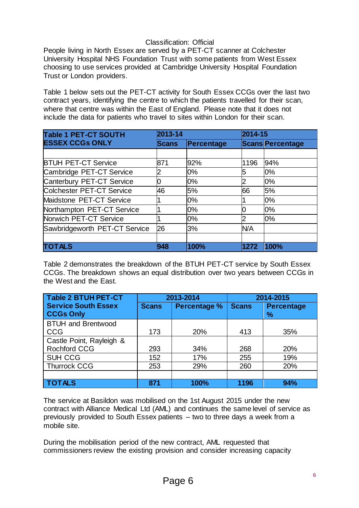People living in North Essex are served by a PET-CT scanner at Colchester University Hospital NHS Foundation Trust with some patients from West Essex choosing to use services provided at Cambridge University Hospital Foundation Trust or London providers.

Table 1 below sets out the PET-CT activity for South Essex CCGs over the last two contract years, identifying the centre to which the patients travelled for their scan, where that centre was within the East of England. Please note that it does not include the data for patients who travel to sites within London for their scan.

| <b>Table 1 PET-CT SOUTH</b>   | 2013-14      |            |      | 2014-15                 |  |
|-------------------------------|--------------|------------|------|-------------------------|--|
| <b>ESSEX CCGs ONLY</b>        | <b>Scans</b> | Percentage |      | <b>Scans Percentage</b> |  |
|                               |              |            |      |                         |  |
| <b>BTUH PET-CT Service</b>    | 871          | 92%        | 1196 | 94%                     |  |
| Cambridge PET-CT Service      |              | 0%         | 15   | 0%                      |  |
| Canterbury PET-CT Service     | 0            | 0%         |      | 0%                      |  |
| Colchester PET-CT Service     | 46           | 5%         | 66   | 5%                      |  |
| Maidstone PET-CT Service      |              | 0%         |      | 0%                      |  |
| Northampton PET-CT Service    |              | 0%         |      | 0%                      |  |
| Norwich PET-CT Service        |              | 0%         |      | 0%                      |  |
| Sawbridgeworth PET-CT Service | 26           | 3%         | N/A  |                         |  |
|                               |              |            |      |                         |  |
| <b>TOTALS</b>                 | 948          | 100%       | 1272 | 100%                    |  |

Table 2 demonstrates the breakdown of the BTUH PET-CT service by South Essex CCGs. The breakdown shows an equal distribution over two years between CCGs in the West and the East.

| Table 2 BTUH PET-CT                            | 2013-2014    |                     | 2014-2015    |                           |
|------------------------------------------------|--------------|---------------------|--------------|---------------------------|
| <b>Service South Essex</b><br><b>CCGs Only</b> | <b>Scans</b> | <b>Percentage %</b> | <b>Scans</b> | <b>Percentage</b><br>$\%$ |
| <b>BTUH and Brentwood</b><br><b>CCG</b>        | 173          | 20%                 | 413          | 35%                       |
| Castle Point, Rayleigh &                       |              |                     |              |                           |
| <b>Rochford CCG</b>                            | 293          | 34%                 | 268          | 20%                       |
| <b>SUH CCG</b>                                 | 152          | 17%                 | 255          | 19%                       |
| <b>Thurrock CCG</b>                            | 253          | 29%                 | 260          | 20%                       |
|                                                |              |                     |              |                           |
| <b>TOTALS</b>                                  | 871          | 100%                | 1196         | 94%                       |

The service at Basildon was mobilised on the 1st August 2015 under the new contract with Alliance Medical Ltd (AML) and continues the same level of service as previously provided to South Essex patients – two to three days a week from a mobile site.

During the mobilisation period of the new contract, AML requested that commissioners review the existing provision and consider increasing capacity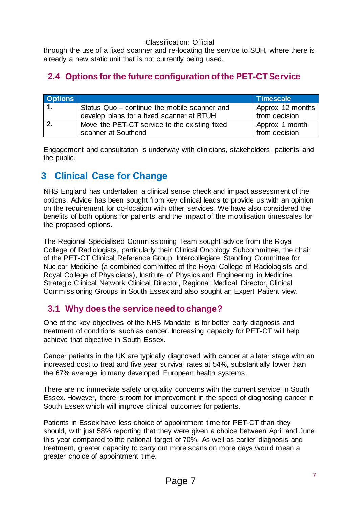through the use of a fixed scanner and re-locating the service to SUH, where there is already a new static unit that is not currently being used.

# <span id="page-6-0"></span>**2.4 Options for the future configuration of the PET-CT Service**

| <b>Options</b> |                                               | <b>Timescale</b> |
|----------------|-----------------------------------------------|------------------|
|                | Status Quo - continue the mobile scanner and  | Approx 12 months |
|                | develop plans for a fixed scanner at BTUH     | from decision    |
|                | Move the PET-CT service to the existing fixed | Approx 1 month   |
|                | scanner at Southend                           | from decision    |

Engagement and consultation is underway with clinicians, stakeholders, patients and the public.

# <span id="page-6-1"></span>**3 Clinical Case for Change**

NHS England has undertaken a clinical sense check and impact assessment of the options. Advice has been sought from key clinical leads to provide us with an opinion on the requirement for co-location with other services. We have also considered the benefits of both options for patients and the impact of the mobilisation timescales for the proposed options.

The Regional Specialised Commissioning Team sought advice from the Royal College of Radiologists, particularly their Clinical Oncology Subcommittee, the chair of the PET-CT Clinical Reference Group, Intercollegiate Standing Committee for Nuclear Medicine (a combined committee of the Royal College of Radiologists and Royal College of Physicians), Institute of Physics and Engineering in Medicine, Strategic Clinical Network Clinical Director, Regional Medical Director, Clinical Commissioning Groups in South Essex and also sought an Expert Patient view.

# <span id="page-6-2"></span>**3.1 Why does the service need to change?**

One of the key objectives of the NHS Mandate is for better early diagnosis and treatment of conditions such as cancer. Increasing capacity for PET-CT will help achieve that objective in South Essex.

Cancer patients in the UK are typically diagnosed with cancer at a later stage with an increased cost to treat and five year survival rates at 54%, substantially lower than the 67% average in many developed European health systems.

There are no immediate safety or quality concerns with the current service in South Essex. However, there is room for improvement in the speed of diagnosing cancer in South Essex which will improve clinical outcomes for patients.

Patients in Essex have less choice of appointment time for PET-CT than they should, with just 58% reporting that they were given a choice between April and June this year compared to the national target of 70%. As well as earlier diagnosis and treatment, greater capacity to carry out more scans on more days would mean a greater choice of appointment time.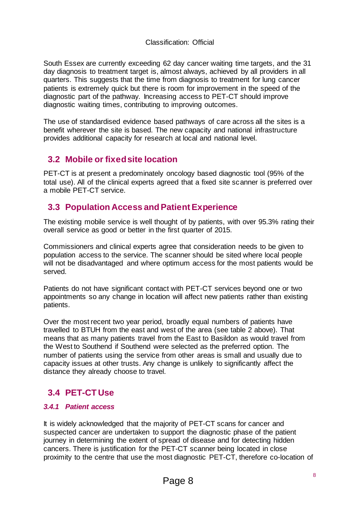South Essex are currently exceeding 62 day cancer waiting time targets, and the 31 day diagnosis to treatment target is, almost always, achieved by all providers in all quarters. This suggests that the time from diagnosis to treatment for lung cancer patients is extremely quick but there is room for improvement in the speed of the diagnostic part of the pathway. Increasing access to PET-CT should improve diagnostic waiting times, contributing to improving outcomes.

The use of standardised evidence based pathways of care across all the sites is a benefit wherever the site is based. The new capacity and national infrastructure provides additional capacity for research at local and national level.

# <span id="page-7-0"></span>**3.2 Mobile or fixed site location**

PET-CT is at present a predominately oncology based diagnostic tool (95% of the total use). All of the clinical experts agreed that a fixed site scanner is preferred over a mobile PET-CT service.

# <span id="page-7-1"></span>**3.3 Population Access and Patient Experience**

The existing mobile service is well thought of by patients, with over 95.3% rating their overall service as good or better in the first quarter of 2015.

Commissioners and clinical experts agree that consideration needs to be given to population access to the service. The scanner should be sited where local people will not be disadvantaged and where optimum access for the most patients would be served.

Patients do not have significant contact with PET-CT services beyond one or two appointments so any change in location will affect new patients rather than existing patients.

Over the most recent two year period, broadly equal numbers of patients have travelled to BTUH from the east and west of the area (see table 2 above). That means that as many patients travel from the East to Basildon as would travel from the West to Southend if Southend were selected as the preferred option. The number of patients using the service from other areas is small and usually due to capacity issues at other trusts. Any change is unlikely to significantly affect the distance they already choose to travel.

# <span id="page-7-2"></span>**3.4 PET-CT Use**

### *3.4.1 Patient access*

It is widely acknowledged that the majority of PET-CT scans for cancer and suspected cancer are undertaken to support the diagnostic phase of the patient journey in determining the extent of spread of disease and for detecting hidden cancers. There is justification for the PET-CT scanner being located in close proximity to the centre that use the most diagnostic PET-CT, therefore co-location of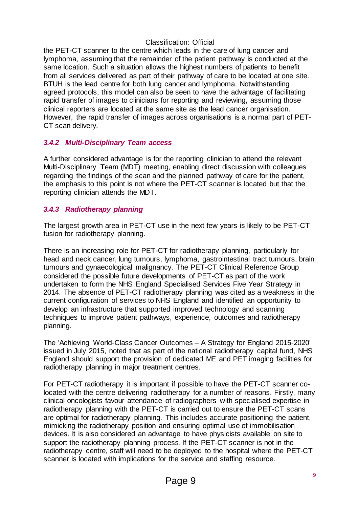the PET-CT scanner to the centre which leads in the care of lung cancer and lymphoma, assuming that the remainder of the patient pathway is conducted at the same location. Such a situation allows the highest numbers of patients to benefit from all services delivered as part of their pathway of care to be located at one site. BTUH is the lead centre for both lung cancer and lymphoma. Notwithstanding agreed protocols, this model can also be seen to have the advantage of facilitating rapid transfer of images to clinicians for reporting and reviewing, assuming those clinical reporters are located at the same site as the lead cancer organisation. However, the rapid transfer of images across organisations is a normal part of PET-CT scan delivery.

### *3.4.2 Multi-Disciplinary Team access*

A further considered advantage is for the reporting clinician to attend the relevant Multi-Disciplinary Team (MDT) meeting, enabling direct discussion with colleagues regarding the findings of the scan and the planned pathway of care for the patient, the emphasis to this point is not where the PET-CT scanner is located but that the reporting clinician attends the MDT.

### *3.4.3 Radiotherapy planning*

The largest growth area in PET-CT use in the next few years is likely to be PET-CT fusion for radiotherapy planning.

There is an increasing role for PET-CT for radiotherapy planning, particularly for head and neck cancer, lung tumours, lymphoma, gastrointestinal tract tumours, brain tumours and gynaecological malignancy. The PET-CT Clinical Reference Group considered the possible future developments of PET-CT as part of the work undertaken to form the NHS England Specialised Services Five Year Strategy in 2014. The absence of PET-CT radiotherapy planning was cited as a weakness in the current configuration of services to NHS England and identified an opportunity to develop an infrastructure that supported improved technology and scanning techniques to improve patient pathways, experience, outcomes and radiotherapy planning.

The 'Achieving World-Class Cancer Outcomes – A Strategy for England 2015-2020' issued in July 2015, noted that as part of the national radiotherapy capital fund, NHS England should support the provision of dedicated ME and PET imaging facilities for radiotherapy planning in major treatment centres.

For PET-CT radiotherapy it is important if possible to have the PET-CT scanner colocated with the centre delivering radiotherapy for a number of reasons. Firstly, many clinical oncologists favour attendance of radiographers with specialised expertise in radiotherapy planning with the PET-CT is carried out to ensure the PET-CT scans are optimal for radiotherapy planning. This includes accurate positioning the patient, mimicking the radiotherapy position and ensuring optimal use of immobilisation devices. It is also considered an advantage to have physicists available on site to support the radiotherapy planning process. If the PET-CT scanner is not in the radiotherapy centre, staff will need to be deployed to the hospital where the PET-CT scanner is located with implications for the service and staffing resource.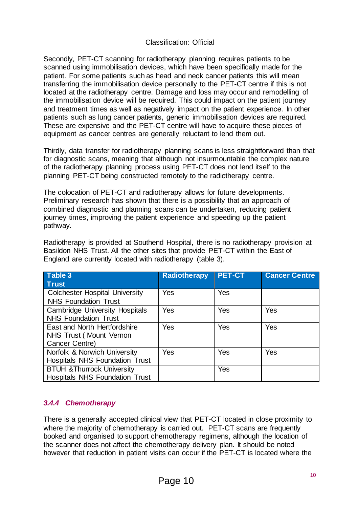Secondly, PET-CT scanning for radiotherapy planning requires patients to be scanned using immobilisation devices, which have been specifically made for the patient. For some patients such as head and neck cancer patients this will mean transferring the immobilisation device personally to the PET-CT centre if this is not located at the radiotherapy centre. Damage and loss may occur and remodelling of the immobilisation device will be required. This could impact on the patient journey and treatment times as well as negatively impact on the patient experience. In other patients such as lung cancer patients, generic immobilisation devices are required. These are expensive and the PET-CT centre will have to acquire these pieces of equipment as cancer centres are generally reluctant to lend them out.

Thirdly, data transfer for radiotherapy planning scans is less straightforward than that for diagnostic scans, meaning that although not insurmountable the complex nature of the radiotherapy planning process using PET-CT does not lend itself to the planning PET-CT being constructed remotely to the radiotherapy centre.

The colocation of PET-CT and radiotherapy allows for future developments. Preliminary research has shown that there is a possibility that an approach of combined diagnostic and planning scans can be undertaken, reducing patient journey times, improving the patient experience and speeding up the patient pathway.

Radiotherapy is provided at Southend Hospital, there is no radiotherapy provision at Basildon NHS Trust. All the other sites that provide PET-CT within the East of England are currently located with radiotherapy (table 3).

| Table 3                               | <b>Radiotherapy</b> | <b>PET-CT</b> | <b>Cancer Centre</b> |
|---------------------------------------|---------------------|---------------|----------------------|
| <b>Trust</b>                          |                     |               |                      |
| <b>Colchester Hospital University</b> | Yes                 | Yes           |                      |
| <b>NHS Foundation Trust</b>           |                     |               |                      |
| <b>Cambridge University Hospitals</b> | Yes                 | Yes           | Yes                  |
| <b>NHS Foundation Trust</b>           |                     |               |                      |
| East and North Hertfordshire          | Yes                 | Yes           | Yes                  |
| NHS Trust (Mount Vernon               |                     |               |                      |
| Cancer Centre)                        |                     |               |                      |
| Norfolk & Norwich University          | Yes                 | Yes           | Yes                  |
| <b>Hospitals NHS Foundation Trust</b> |                     |               |                      |
| <b>BTUH &amp;Thurrock University</b>  |                     | Yes           |                      |
| <b>Hospitals NHS Foundation Trust</b> |                     |               |                      |

### *3.4.4 Chemotherapy*

There is a generally accepted clinical view that PET-CT located in close proximity to where the majority of chemotherapy is carried out. PET-CT scans are frequently booked and organised to support chemotherapy regimens, although the location of the scanner does not affect the chemotherapy delivery plan. It should be noted however that reduction in patient visits can occur if the PET-CT is located where the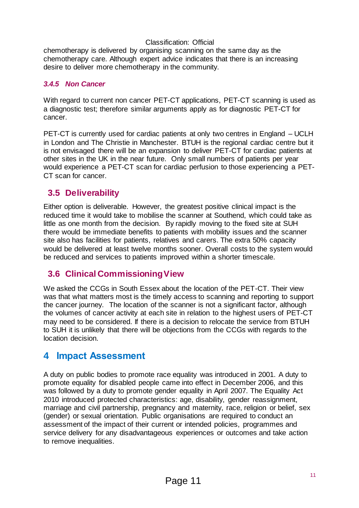chemotherapy is delivered by organising scanning on the same day as the chemotherapy care. Although expert advice indicates that there is an increasing desire to deliver more chemotherapy in the community.

### *3.4.5 Non Cancer*

With regard to current non cancer PET-CT applications, PET-CT scanning is used as a diagnostic test; therefore similar arguments apply as for diagnostic PET-CT for cancer.

PET-CT is currently used for cardiac patients at only two centres in England – UCLH in London and The Christie in Manchester. BTUH is the regional cardiac centre but it is not envisaged there will be an expansion to deliver PET-CT for cardiac patients at other sites in the UK in the near future. Only small numbers of patients per year would experience a PET-CT scan for cardiac perfusion to those experiencing a PET-CT scan for cancer.

# <span id="page-10-0"></span>**3.5 Deliverability**

Either option is deliverable. However, the greatest positive clinical impact is the reduced time it would take to mobilise the scanner at Southend, which could take as little as one month from the decision. By rapidly moving to the fixed site at SUH there would be immediate benefits to patients with mobility issues and the scanner site also has facilities for patients, relatives and carers. The extra 50% capacity would be delivered at least twelve months sooner. Overall costs to the system would be reduced and services to patients improved within a shorter timescale.

# <span id="page-10-1"></span>**3.6 Clinical Commissioning View**

We asked the CCGs in South Essex about the location of the PET-CT. Their view was that what matters most is the timely access to scanning and reporting to support the cancer journey. The location of the scanner is not a significant factor, although the volumes of cancer activity at each site in relation to the highest users of PET-CT may need to be considered. If there is a decision to relocate the service from BTUH to SUH it is unlikely that there will be objections from the CCGs with regards to the location decision.

# <span id="page-10-2"></span>**4 Impact Assessment**

A duty on public bodies to promote race equality was introduced in 2001. A duty to promote equality for disabled people came into effect in December 2006, and this was followed by a duty to promote gender equality in April 2007. The Equality Act 2010 introduced protected characteristics: age, disability, gender reassignment, marriage and civil partnership, pregnancy and maternity, race, religion or belief, sex (gender) or sexual orientation. Public organisations are required to conduct an assessment of the impact of their current or intended policies, programmes and service delivery for any disadvantageous experiences or outcomes and take action to remove inequalities.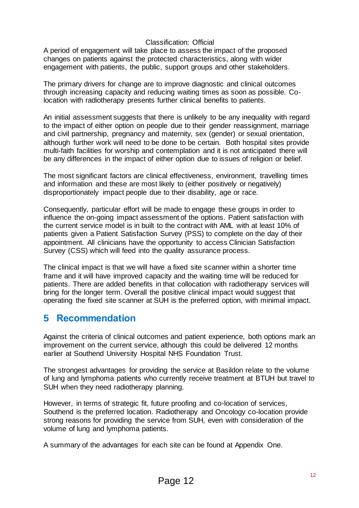A period of engagement will take place to assess the impact of the proposed changes on patients against the protected characteristics, along with wider engagement with patients, the public, support groups and other stakeholders.

The primary drivers for change are to improve diagnostic and clinical outcomes through increasing capacity and reducing waiting times as soon as possible. Colocation with radiotherapy presents further clinical benefits to patients.

An initial assessment suggests that there is unlikely to be any inequality with regard to the impact of either option on people due to their gender reassignment, marriage and civil partnership, pregnancy and maternity, sex (gender) or sexual orientation, although further work will need to be done to be certain. Both hospital sites provide multi-faith facilities for worship and contemplation and it is not anticipated there will be any differences in the impact of either option due to issues of religion or belief.

The most significant factors are clinical effectiveness, environment, travelling times and information and these are most likely to (either positively or negatively) disproportionately impact people due to their disability, age or race.

Consequently, particular effort will be made to engage these groups in order to influence the on-going impact assessment of the options. Patient satisfaction with the current service model is in built to the contract with AML with at least 10% of patients given a Patient Satisfaction Survey (PSS) to complete on the day of their appointment. All clinicians have the opportunity to access Clinician Satisfaction Survey (CSS) which will feed into the quality assurance process.

The clinical impact is that we will have a fixed site scanner within a shorter time frame and it will have improved capacity and the waiting time will be reduced for patients. There are added benefits in that collocation with radiotherapy services will bring for the longer term. Overall the positive clinical impact would suggest that operating the fixed site scanner at SUH is the preferred option, with minimal impact.

# <span id="page-11-0"></span>**5 Recommendation**

Against the criteria of clinical outcomes and patient experience, both options mark an improvement on the current service, although this could be delivered 12 months earlier at Southend University Hospital NHS Foundation Trust.

The strongest advantages for providing the service at Basildon relate to the volume of lung and lymphoma patients who currently receive treatment at BTUH but travel to SUH when they need radiotherapy planning.

However, in terms of strategic fit, future proofing and co-location of services, Southend is the preferred location. Radiotherapy and Oncology co-location provide strong reasons for providing the service from SUH, even with consideration of the volume of lung and lymphoma patients.

A summary of the advantages for each site can be found at Appendix One.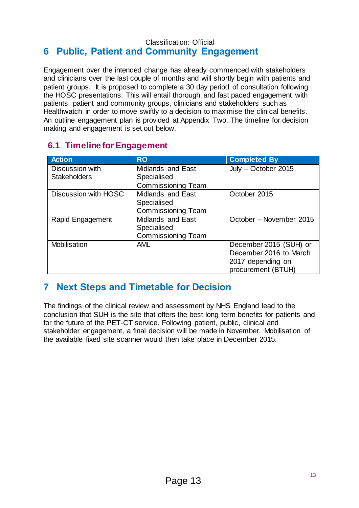### <span id="page-12-0"></span>Classification: Official **6 Public, Patient and Community Engagement**

Engagement over the intended change has already commenced with stakeholders and clinicians over the last couple of months and will shortly begin with patients and patient groups. It is proposed to complete a 30 day period of consultation following the HOSC presentations. This will entail thorough and fast paced engagement with patients, patient and community groups, clinicians and stakeholders such as Healthwatch in order to move swiftly to a decision to maximise the clinical benefits. An outline engagement plan is provided at Appendix Two. The timeline for decision making and engagement is set out below.

# <span id="page-12-1"></span>**6.1 Timeline for Engagement**

| <b>Action</b>        | <b>RO</b>                 | <b>Completed By</b>     |
|----------------------|---------------------------|-------------------------|
| Discussion with      | <b>Midlands and East</b>  | July - October 2015     |
| <b>Stakeholders</b>  | Specialised               |                         |
|                      | <b>Commissioning Team</b> |                         |
| Discussion with HOSC | <b>Midlands and East</b>  | October 2015            |
|                      | Specialised               |                         |
|                      | <b>Commissioning Team</b> |                         |
| Rapid Engagement     | <b>Midlands and East</b>  | October - November 2015 |
|                      | Specialised               |                         |
|                      | <b>Commissioning Team</b> |                         |
| <b>Mobilisation</b>  | <b>AML</b>                | December 2015 (SUH) or  |
|                      |                           | December 2016 to March  |
|                      |                           | 2017 depending on       |
|                      |                           | procurement (BTUH)      |

# <span id="page-12-2"></span>**7 Next Steps and Timetable for Decision**

The findings of the clinical review and assessment by NHS England lead to the conclusion that SUH is the site that offers the best long term benefits for patients and for the future of the PET-CT service. Following patient, public, clinical and stakeholder engagement, a final decision will be made in November. Mobilisation of the available fixed site scanner would then take place in December 2015.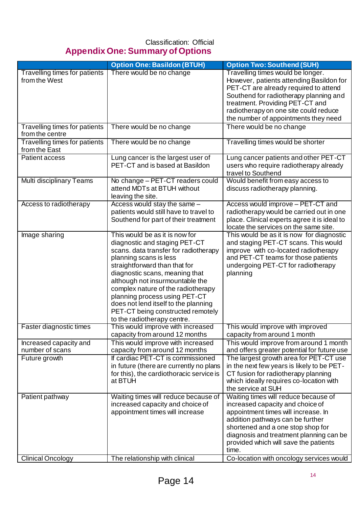# <span id="page-13-0"></span>Classification: Official **Appendix One: Summary of Options**

|                                                         | <b>Option One: Basildon (BTUH)</b>                                                                                                                                                                                                                                                                                                                                                                                          | <b>Option Two: Southend (SUH)</b>                                                                                                                                                                                                                                                                                                 |
|---------------------------------------------------------|-----------------------------------------------------------------------------------------------------------------------------------------------------------------------------------------------------------------------------------------------------------------------------------------------------------------------------------------------------------------------------------------------------------------------------|-----------------------------------------------------------------------------------------------------------------------------------------------------------------------------------------------------------------------------------------------------------------------------------------------------------------------------------|
| <b>Travelling times for patients</b><br>from the West   | There would be no change                                                                                                                                                                                                                                                                                                                                                                                                    | Travelling times would be longer.<br>However, patients attending Basildon for<br>PET-CT are already required to attend                                                                                                                                                                                                            |
|                                                         |                                                                                                                                                                                                                                                                                                                                                                                                                             | Southend for radiotherapy planning and<br>treatment. Providing PET-CT and                                                                                                                                                                                                                                                         |
|                                                         |                                                                                                                                                                                                                                                                                                                                                                                                                             | radiotherapy on one site could reduce<br>the number of appointments they need                                                                                                                                                                                                                                                     |
| <b>Travelling times for patients</b><br>from the centre | There would be no change                                                                                                                                                                                                                                                                                                                                                                                                    | There would be no change                                                                                                                                                                                                                                                                                                          |
| Travelling times for patients<br>from the East          | There would be no change                                                                                                                                                                                                                                                                                                                                                                                                    | Travelling times would be shorter                                                                                                                                                                                                                                                                                                 |
| Patient access                                          | Lung cancer is the largest user of<br>PET-CT and is based at Basildon                                                                                                                                                                                                                                                                                                                                                       | Lung cancer patients and other PET-CT<br>users who require radiotherapy already<br>travel to Southend                                                                                                                                                                                                                             |
| Multi disciplinary Teams                                | No change - PET-CT readers could<br>attend MDTs at BTUH without<br>leaving the site.                                                                                                                                                                                                                                                                                                                                        | Would benefit from easy access to<br>discuss radiotherapy planning.                                                                                                                                                                                                                                                               |
| Access to radiotherapy                                  | Access would stay the same -<br>patients would still have to travel to<br>Southend for part of their treatment                                                                                                                                                                                                                                                                                                              | Access would improve - PET-CT and<br>radiotherapy would be carried out in one<br>place. Clinical experts agree it is ideal to<br>locate the services on the same site.                                                                                                                                                            |
| Image sharing                                           | This would be as it is now for<br>diagnostic and staging PET-CT<br>scans. data transfer for radiotherapy<br>planning scans is less<br>straightforward than that for<br>diagnostic scans, meaning that<br>although not insurmountable the<br>complex nature of the radiotherapy<br>planning process using PET-CT<br>does not lend itself to the planning<br>PET-CT being constructed remotely<br>to the radiotherapy centre. | This would be as it is now for diagnostic<br>and staging PET-CT scans. This would<br>improve with co-located radiotherapy<br>and PET-CT teams for those patients<br>undergoing PET-CT for radiotherapy<br>planning                                                                                                                |
| Faster diagnostic times                                 | This would improve with increased<br>capacity from around 12 months                                                                                                                                                                                                                                                                                                                                                         | This would improve with improved<br>capacity from around 1 month                                                                                                                                                                                                                                                                  |
| Increased capacity and<br>number of scans               | This would improve with increased<br>capacity from around 12 months                                                                                                                                                                                                                                                                                                                                                         | This would improve from around 1 month<br>and offers greater potential for future use                                                                                                                                                                                                                                             |
| Future growth                                           | If cardiac PET-CT is commissioned<br>in future (there are currently no plans<br>for this), the cardiothoracic service is<br>at BTUH                                                                                                                                                                                                                                                                                         | The largest growth area for PET-CT use<br>in the next few years is likely to be PET-<br>CT fusion for radiotherapy planning<br>which ideally requires co-location with<br>the service at SUH                                                                                                                                      |
| Patient pathway<br><b>Clinical Oncology</b>             | Waiting times will reduce because of<br>increased capacity and choice of<br>appointment times will increase<br>The relationship with clinical                                                                                                                                                                                                                                                                               | Waiting times will reduce because of<br>increased capacity and choice of<br>appointment times will increase. In<br>addition pathways can be further<br>shortened and a one stop shop for<br>diagnosis and treatment planning can be<br>provided which will save the patients<br>time.<br>Co-location with oncology services would |
|                                                         |                                                                                                                                                                                                                                                                                                                                                                                                                             |                                                                                                                                                                                                                                                                                                                                   |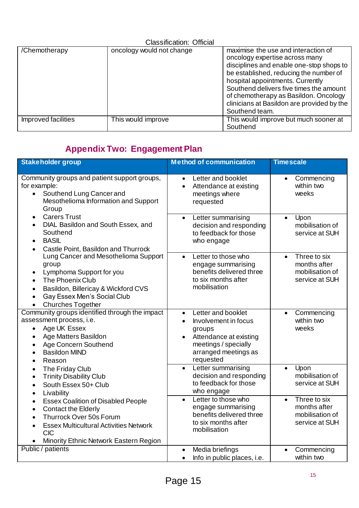| <b>Classification: Official</b> |                           |                                                                                                                                                                                                                                                                                                                                                     |  |  |  |
|---------------------------------|---------------------------|-----------------------------------------------------------------------------------------------------------------------------------------------------------------------------------------------------------------------------------------------------------------------------------------------------------------------------------------------------|--|--|--|
| /Chemotherapy                   | oncology would not change | maximise the use and interaction of<br>oncology expertise across many<br>disciplines and enable one-stop shops to<br>be established, reducing the number of<br>hospital appointments. Currently<br>Southend delivers five times the amount<br>of chemotherapy as Basildon. Oncology<br>clinicians at Basildon are provided by the<br>Southend team. |  |  |  |
| Improved facilities             | This would improve        | This would improve but much sooner at<br>Southend                                                                                                                                                                                                                                                                                                   |  |  |  |

# <span id="page-14-0"></span>**Appendix Two: Engagement Plan**

| <b>Stakeholder group</b>                                                                                                                                                                                                                                        | <b>Method of communication</b>                                                                                                                                                     | <b>Timescale</b>                                                               |
|-----------------------------------------------------------------------------------------------------------------------------------------------------------------------------------------------------------------------------------------------------------------|------------------------------------------------------------------------------------------------------------------------------------------------------------------------------------|--------------------------------------------------------------------------------|
| Community groups and patient support groups,<br>for example:<br>Southend Lung Cancer and<br>$\bullet$<br>Mesothelioma Information and Support<br>Group                                                                                                          | Letter and booklet<br>$\bullet$<br>Attendance at existing<br>$\bullet$<br>meetings where<br>requested                                                                              | Commencing<br>$\bullet$<br>within two<br>weeks                                 |
| <b>Carers Trust</b><br>$\bullet$<br>DIAL Basildon and South Essex, and<br>$\bullet$<br>Southend<br><b>BASIL</b><br>$\bullet$<br>Castle Point, Basildon and Thurrock<br>$\bullet$                                                                                | Letter summarising<br>$\bullet$<br>decision and responding<br>to feedback for those<br>who engage                                                                                  | Upon<br>$\bullet$<br>mobilisation of<br>service at SUH                         |
| Lung Cancer and Mesothelioma Support<br>group<br>Lymphoma Support for you<br>$\bullet$<br>The Phoenix Club<br>Basildon, Billericay & Wickford CVS<br>$\bullet$<br>Gay Essex Men's Social Club<br>$\bullet$<br><b>Churches Together</b><br>$\bullet$             | Letter to those who<br>$\bullet$<br>engage summarising<br>benefits delivered three<br>to six months after<br>mobilisation                                                          | Three to six<br>$\bullet$<br>months after<br>mobilisation of<br>service at SUH |
| Community groups identified through the impact<br>assessment process, i.e.<br>Age UK Essex<br>$\bullet$<br>Age Matters Basildon<br>$\bullet$<br>Age Concern Southend<br>$\bullet$<br><b>Basildon MIND</b><br>$\bullet$<br>Reason<br>$\bullet$                   | Letter and booklet<br>$\bullet$<br>Involvement in focus<br>$\bullet$<br>groups<br>Attendance at existing<br>$\bullet$<br>meetings / specially<br>arranged meetings as<br>requested | Commencing<br>$\bullet$<br>within two<br>weeks                                 |
| The Friday Club<br>$\bullet$<br><b>Trinity Disability Club</b><br>$\bullet$<br>South Essex 50+ Club<br>$\bullet$<br>Livability<br>$\bullet$                                                                                                                     | Letter summarising<br>$\bullet$<br>decision and responding<br>to feedback for those<br>who engage                                                                                  | Upon<br>$\bullet$<br>mobilisation of<br>service at SUH                         |
| <b>Essex Coalition of Disabled People</b><br>$\bullet$<br><b>Contact the Elderly</b><br>$\bullet$<br>Thurrock Over 50s Forum<br>$\bullet$<br><b>Essex Multicultural Activities Network</b><br>$\bullet$<br><b>CIC</b><br>Minority Ethnic Network Eastern Region | Letter to those who<br>$\bullet$<br>engage summarising<br>benefits delivered three<br>to six months after<br>mobilisation                                                          | Three to six<br>$\bullet$<br>months after<br>mobilisation of<br>service at SUH |
| Public / patients                                                                                                                                                                                                                                               | Media briefings<br>$\bullet$<br>Info in public places, i.e.<br>$\bullet$                                                                                                           | Commencing<br>$\bullet$<br>within two                                          |